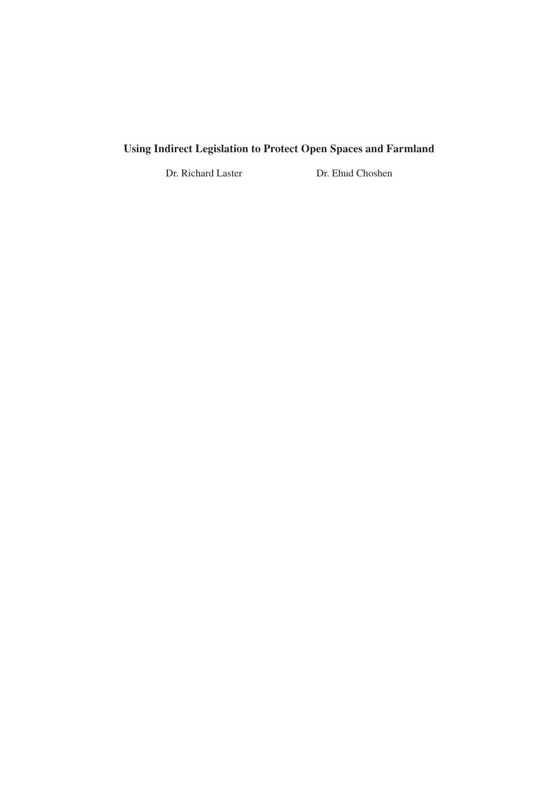## **Using Indirect Legislation to Protect Open Spaces and Farmland**

Dr. Richard Laster Dr. Ehud Choshen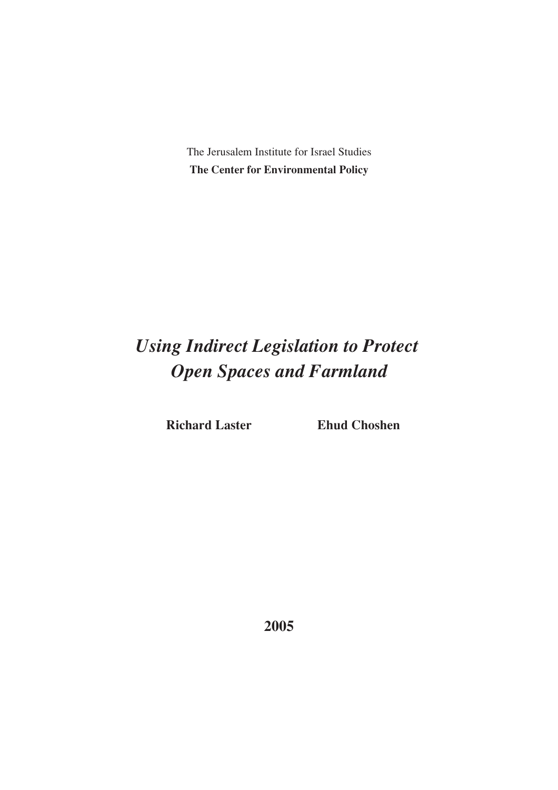The Jerusalem Institute for Israel Studies **The Center for Environmental Policy**

# *Using Indirect Legislation to Protect Open Spaces and Farmland*

**Richard Laster Ehud Choshen**

**2005**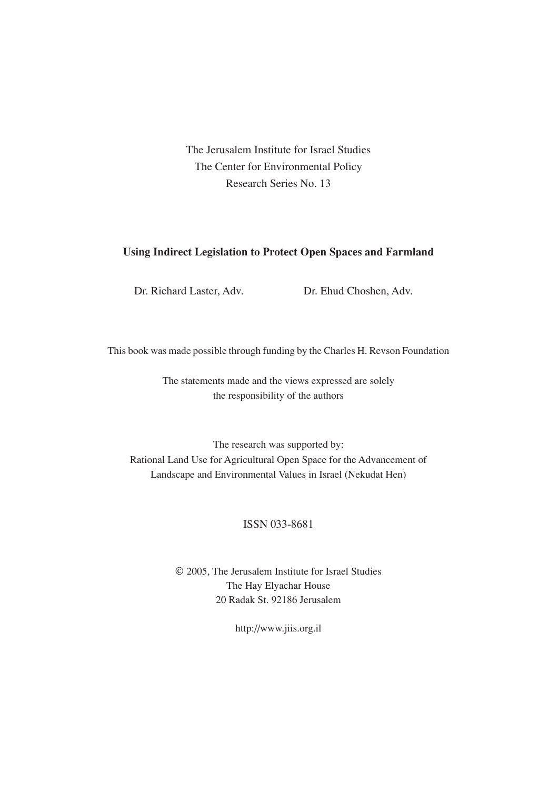The Jerusalem Institute for Israel Studies The Center for Environmental Policy Research Series No. 13

#### **Using Indirect Legislation to Protect Open Spaces and Farmland**

Dr. Richard Laster, Adv. Dr. Ehud Choshen, Adv.

This book was made possible through funding by the Charles H. Revson Foundation

The statements made and the views expressed are solely the responsibility of the authors

The research was supported by: Rational Land Use for Agricultural Open Space for the Advancement of Landscape and Environmental Values in Israel (Nekudat Hen)

#### ISSN 033-8681

© 2005, The Jerusalem Institute for Israel Studies The Hay Elyachar House 20 Radak St. 92186 Jerusalem

http://www.jiis.org.il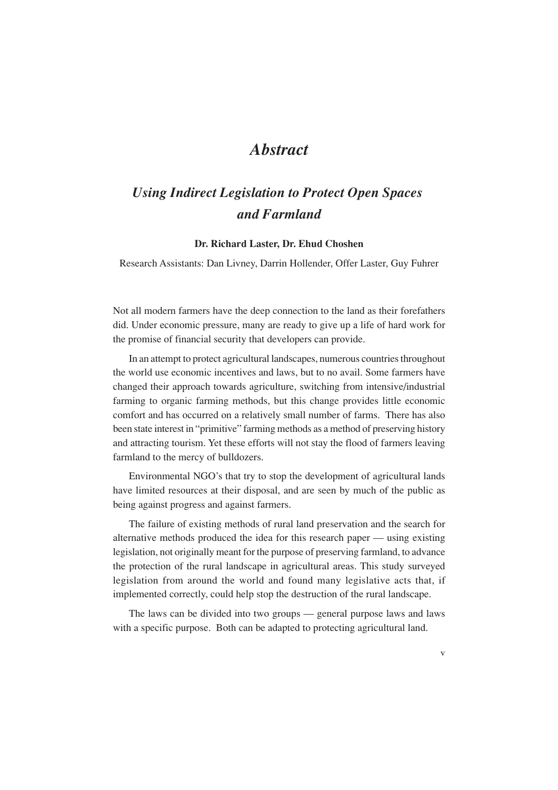## *Abstract*

## *Using Indirect Legislation to Protect Open Spaces and Farmland*

#### **Dr. Richard Laster, Dr. Ehud Choshen**

Research Assistants: Dan Livney, Darrin Hollender, Offer Laster, Guy Fuhrer

Not all modern farmers have the deep connection to the land as their forefathers did. Under economic pressure, many are ready to give up a life of hard work for the promise of financial security that developers can provide.

In an attempt to protect agricultural landscapes, numerous countries throughout the world use economic incentives and laws, but to no avail. Some farmers have changed their approach towards agriculture, switching from intensive/industrial farming to organic farming methods, but this change provides little economic comfort and has occurred on a relatively small number of farms. There has also been state interest in "primitive" farming methods as a method of preserving history and attracting tourism. Yet these efforts will not stay the flood of farmers leaving farmland to the mercy of bulldozers.

Environmental NGO's that try to stop the development of agricultural lands have limited resources at their disposal, and are seen by much of the public as being against progress and against farmers.

The failure of existing methods of rural land preservation and the search for alternative methods produced the idea for this research paper — using existing legislation, not originally meant for the purpose of preserving farmland, to advance the protection of the rural landscape in agricultural areas. This study surveyed legislation from around the world and found many legislative acts that, if implemented correctly, could help stop the destruction of the rural landscape.

The laws can be divided into two groups — general purpose laws and laws with a specific purpose. Both can be adapted to protecting agricultural land.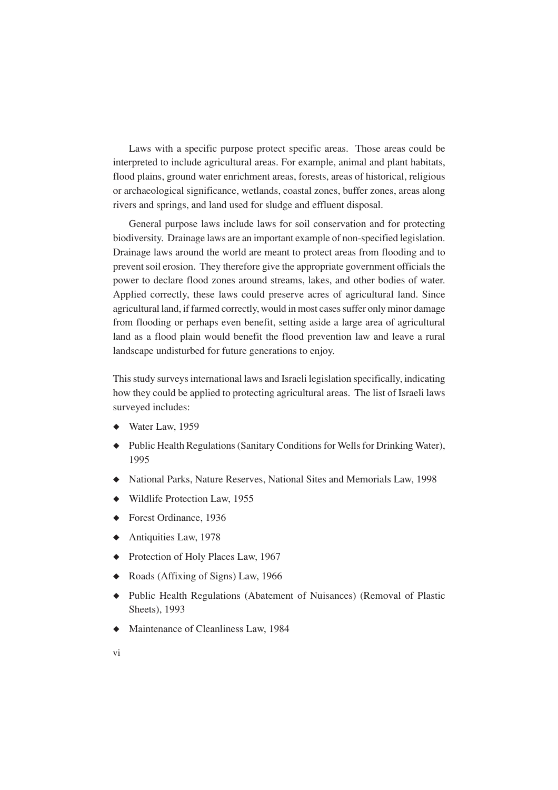Laws with a specific purpose protect specific areas. Those areas could be interpreted to include agricultural areas. For example, animal and plant habitats, flood plains, ground water enrichment areas, forests, areas of historical, religious or archaeological significance, wetlands, coastal zones, buffer zones, areas along rivers and springs, and land used for sludge and effluent disposal.

General purpose laws include laws for soil conservation and for protecting biodiversity. Drainage laws are an important example of non-specified legislation. Drainage laws around the world are meant to protect areas from flooding and to prevent soil erosion. They therefore give the appropriate government officials the power to declare flood zones around streams, lakes, and other bodies of water. Applied correctly, these laws could preserve acres of agricultural land. Since agricultural land, if farmed correctly, would in most cases suffer only minor damage from flooding or perhaps even benefit, setting aside a large area of agricultural land as a flood plain would benefit the flood prevention law and leave a rural landscape undisturbed for future generations to enjoy.

This study surveys international laws and Israeli legislation specifically, indicating how they could be applied to protecting agricultural areas. The list of Israeli laws surveyed includes:

- ◆ Water Law, 1959
- ◆ Public Health Regulations (Sanitary Conditions for Wells for Drinking Water), 1995
- ◆ National Parks, Nature Reserves, National Sites and Memorials Law, 1998
- ◆ Wildlife Protection Law, 1955
- ◆ Forest Ordinance, 1936
- ◆ Antiquities Law, 1978
- ◆ Protection of Holy Places Law, 1967
- ◆ Roads (Affixing of Signs) Law, 1966
- ◆ Public Health Regulations (Abatement of Nuisances) (Removal of Plastic Sheets), 1993
- ◆ Maintenance of Cleanliness Law, 1984
- vi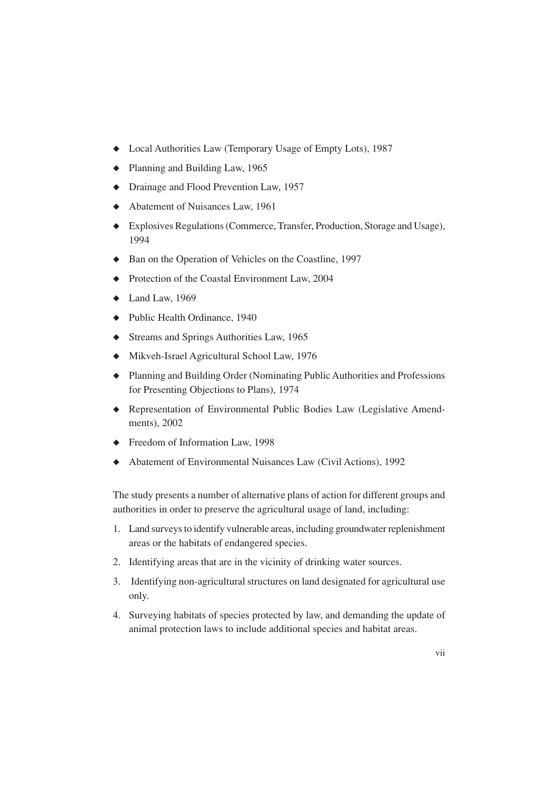- ◆ Local Authorities Law (Temporary Usage of Empty Lots), 1987
- ◆ Planning and Building Law, 1965
- ◆ Drainage and Flood Prevention Law, 1957
- ◆ Abatement of Nuisances Law, 1961
- ◆ Explosives Regulations (Commerce, Transfer, Production, Storage and Usage), 1994
- ◆ Ban on the Operation of Vehicles on the Coastline, 1997
- ◆ Protection of the Coastal Environment Law, 2004
- $\blacklozenge$  Land Law, 1969
- ◆ Public Health Ordinance, 1940
- ◆ Streams and Springs Authorities Law, 1965
- ◆ Mikveh-Israel Agricultural School Law, 1976
- ◆ Planning and Building Order (Nominating Public Authorities and Professions for Presenting Objections to Plans), 1974
- ◆ Representation of Environmental Public Bodies Law (Legislative Amendments), 2002
- ◆ Freedom of Information Law, 1998
- ◆ Abatement of Environmental Nuisances Law (Civil Actions), 1992

The study presents a number of alternative plans of action for different groups and authorities in order to preserve the agricultural usage of land, including:

- 1. Land surveys to identify vulnerable areas, including groundwater replenishment areas or the habitats of endangered species.
- 2. Identifying areas that are in the vicinity of drinking water sources.
- 3. Identifying non-agricultural structures on land designated for agricultural use only.
- 4. Surveying habitats of species protected by law, and demanding the update of animal protection laws to include additional species and habitat areas.